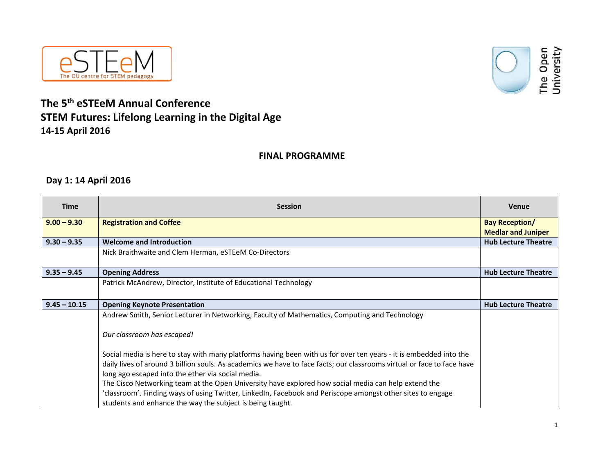



## **The 5th eSTEeM Annual Conference STEM Futures: Lifelong Learning in the Digital Age 14‐15 April 2016**

#### **FINAL PROGRAMME**

### **Day 1: 14 April 2016**

| <b>Time</b>    | <b>Session</b>                                                                                                         | <b>Venue</b>               |
|----------------|------------------------------------------------------------------------------------------------------------------------|----------------------------|
| $9.00 - 9.30$  | <b>Registration and Coffee</b>                                                                                         | <b>Bay Reception/</b>      |
|                |                                                                                                                        | <b>Medlar and Juniper</b>  |
| $9.30 - 9.35$  | <b>Welcome and Introduction</b>                                                                                        | <b>Hub Lecture Theatre</b> |
|                | Nick Braithwaite and Clem Herman, eSTEeM Co-Directors                                                                  |                            |
| $9.35 - 9.45$  | <b>Opening Address</b>                                                                                                 | <b>Hub Lecture Theatre</b> |
|                | Patrick McAndrew, Director, Institute of Educational Technology                                                        |                            |
| $9.45 - 10.15$ | <b>Opening Keynote Presentation</b>                                                                                    | <b>Hub Lecture Theatre</b> |
|                | Andrew Smith, Senior Lecturer in Networking, Faculty of Mathematics, Computing and Technology                          |                            |
|                | Our classroom has escaped!                                                                                             |                            |
|                | Social media is here to stay with many platforms having been with us for over ten years - it is embedded into the      |                            |
|                | daily lives of around 3 billion souls. As academics we have to face facts; our classrooms virtual or face to face have |                            |
|                | long ago escaped into the ether via social media.                                                                      |                            |
|                | The Cisco Networking team at the Open University have explored how social media can help extend the                    |                            |
|                | 'classroom'. Finding ways of using Twitter, LinkedIn, Facebook and Periscope amongst other sites to engage             |                            |
|                | students and enhance the way the subject is being taught.                                                              |                            |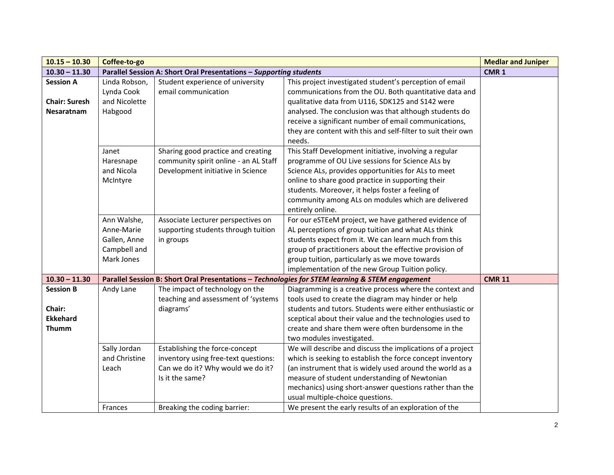| $10.15 - 10.30$      | Coffee-to-go  |                                                                    |                                                                                                 | <b>Medlar and Juniper</b> |
|----------------------|---------------|--------------------------------------------------------------------|-------------------------------------------------------------------------------------------------|---------------------------|
| $10.30 - 11.30$      |               | Parallel Session A: Short Oral Presentations - Supporting students |                                                                                                 | CMR <sub>1</sub>          |
| <b>Session A</b>     | Linda Robson, | Student experience of university                                   | This project investigated student's perception of email                                         |                           |
|                      | Lynda Cook    | email communication                                                | communications from the OU. Both quantitative data and                                          |                           |
| <b>Chair: Suresh</b> | and Nicolette |                                                                    | qualitative data from U116, SDK125 and S142 were                                                |                           |
| <b>Nesaratnam</b>    | Habgood       |                                                                    | analysed. The conclusion was that although students do                                          |                           |
|                      |               |                                                                    | receive a significant number of email communications,                                           |                           |
|                      |               |                                                                    | they are content with this and self-filter to suit their own                                    |                           |
|                      |               |                                                                    | needs.                                                                                          |                           |
|                      | Janet         | Sharing good practice and creating                                 | This Staff Development initiative, involving a regular                                          |                           |
|                      | Haresnape     | community spirit online - an AL Staff                              | programme of OU Live sessions for Science ALs by                                                |                           |
|                      | and Nicola    | Development initiative in Science                                  | Science ALs, provides opportunities for ALs to meet                                             |                           |
|                      | McIntyre      |                                                                    | online to share good practice in supporting their                                               |                           |
|                      |               |                                                                    | students. Moreover, it helps foster a feeling of                                                |                           |
|                      |               |                                                                    | community among ALs on modules which are delivered                                              |                           |
|                      |               |                                                                    | entirely online.                                                                                |                           |
|                      | Ann Walshe,   | Associate Lecturer perspectives on                                 | For our eSTEeM project, we have gathered evidence of                                            |                           |
|                      | Anne-Marie    | supporting students through tuition                                | AL perceptions of group tuition and what ALs think                                              |                           |
|                      | Gallen, Anne  | in groups                                                          | students expect from it. We can learn much from this                                            |                           |
|                      | Campbell and  |                                                                    | group of practitioners about the effective provision of                                         |                           |
|                      | Mark Jones    |                                                                    | group tuition, particularly as we move towards                                                  |                           |
|                      |               |                                                                    | implementation of the new Group Tuition policy.                                                 |                           |
| $10.30 - 11.30$      |               |                                                                    | Parallel Session B: Short Oral Presentations - Technologies for STEM learning & STEM engagement | <b>CMR 11</b>             |
| <b>Session B</b>     | Andy Lane     | The impact of technology on the                                    | Diagramming is a creative process where the context and                                         |                           |
|                      |               | teaching and assessment of 'systems                                | tools used to create the diagram may hinder or help                                             |                           |
| Chair:               |               | diagrams'                                                          | students and tutors. Students were either enthusiastic or                                       |                           |
| <b>Ekkehard</b>      |               |                                                                    | sceptical about their value and the technologies used to                                        |                           |
| <b>Thumm</b>         |               |                                                                    | create and share them were often burdensome in the                                              |                           |
|                      |               |                                                                    | two modules investigated.                                                                       |                           |
|                      | Sally Jordan  | Establishing the force-concept                                     | We will describe and discuss the implications of a project                                      |                           |
|                      | and Christine | inventory using free-text questions:                               | which is seeking to establish the force concept inventory                                       |                           |
|                      | Leach         | Can we do it? Why would we do it?                                  | (an instrument that is widely used around the world as a                                        |                           |
|                      |               | Is it the same?                                                    | measure of student understanding of Newtonian                                                   |                           |
|                      |               |                                                                    | mechanics) using short-answer questions rather than the                                         |                           |
|                      |               |                                                                    | usual multiple-choice questions.                                                                |                           |
|                      | Frances       | Breaking the coding barrier:                                       | We present the early results of an exploration of the                                           |                           |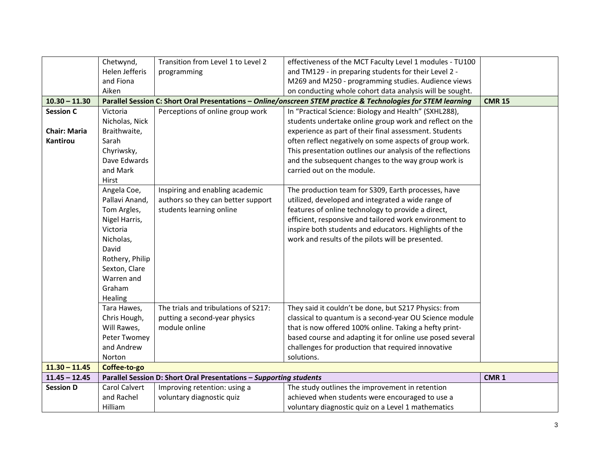|                     | Chetwynd,       | Transition from Level 1 to Level 2                                 | effectiveness of the MCT Faculty Level 1 modules - TU100                                                      |                  |
|---------------------|-----------------|--------------------------------------------------------------------|---------------------------------------------------------------------------------------------------------------|------------------|
|                     | Helen Jefferis  | programming                                                        | and TM129 - in preparing students for their Level 2 -                                                         |                  |
|                     | and Fiona       |                                                                    | M269 and M250 - programming studies. Audience views                                                           |                  |
|                     | Aiken           |                                                                    | on conducting whole cohort data analysis will be sought.                                                      |                  |
| $10.30 - 11.30$     |                 |                                                                    | Parallel Session C: Short Oral Presentations - Online/onscreen STEM practice & Technologies for STEM learning | <b>CMR 15</b>    |
| <b>Session C</b>    | Victoria        | Perceptions of online group work                                   | In "Practical Science: Biology and Health" (SXHL288),                                                         |                  |
|                     | Nicholas, Nick  |                                                                    | students undertake online group work and reflect on the                                                       |                  |
| <b>Chair: Maria</b> | Braithwaite,    |                                                                    | experience as part of their final assessment. Students                                                        |                  |
| <b>Kantirou</b>     | Sarah           |                                                                    | often reflect negatively on some aspects of group work.                                                       |                  |
|                     | Chyriwsky,      |                                                                    | This presentation outlines our analysis of the reflections                                                    |                  |
|                     | Dave Edwards    |                                                                    | and the subsequent changes to the way group work is                                                           |                  |
|                     | and Mark        |                                                                    | carried out on the module.                                                                                    |                  |
|                     | Hirst           |                                                                    |                                                                                                               |                  |
|                     | Angela Coe,     | Inspiring and enabling academic                                    | The production team for S309, Earth processes, have                                                           |                  |
|                     | Pallavi Anand,  | authors so they can better support                                 | utilized, developed and integrated a wide range of                                                            |                  |
|                     | Tom Argles,     | students learning online                                           | features of online technology to provide a direct,                                                            |                  |
|                     | Nigel Harris,   |                                                                    | efficient, responsive and tailored work environment to                                                        |                  |
|                     | Victoria        |                                                                    | inspire both students and educators. Highlights of the                                                        |                  |
|                     | Nicholas,       |                                                                    | work and results of the pilots will be presented.                                                             |                  |
|                     | David           |                                                                    |                                                                                                               |                  |
|                     | Rothery, Philip |                                                                    |                                                                                                               |                  |
|                     | Sexton, Clare   |                                                                    |                                                                                                               |                  |
|                     | Warren and      |                                                                    |                                                                                                               |                  |
|                     | Graham          |                                                                    |                                                                                                               |                  |
|                     | Healing         |                                                                    |                                                                                                               |                  |
|                     | Tara Hawes,     | The trials and tribulations of S217:                               | They said it couldn't be done, but S217 Physics: from                                                         |                  |
|                     | Chris Hough,    | putting a second-year physics                                      | classical to quantum is a second-year OU Science module                                                       |                  |
|                     | Will Rawes,     | module online                                                      | that is now offered 100% online. Taking a hefty print-                                                        |                  |
|                     | Peter Twomey    |                                                                    | based course and adapting it for online use posed several                                                     |                  |
|                     | and Andrew      |                                                                    | challenges for production that required innovative                                                            |                  |
|                     | Norton          |                                                                    | solutions.                                                                                                    |                  |
| $11.30 - 11.45$     | Coffee-to-go    |                                                                    |                                                                                                               |                  |
| $11.45 - 12.45$     |                 | Parallel Session D: Short Oral Presentations - Supporting students |                                                                                                               | CMR <sub>1</sub> |
| <b>Session D</b>    | Carol Calvert   | Improving retention: using a                                       | The study outlines the improvement in retention                                                               |                  |
|                     | and Rachel      | voluntary diagnostic quiz                                          | achieved when students were encouraged to use a                                                               |                  |
|                     | Hilliam         |                                                                    | voluntary diagnostic quiz on a Level 1 mathematics                                                            |                  |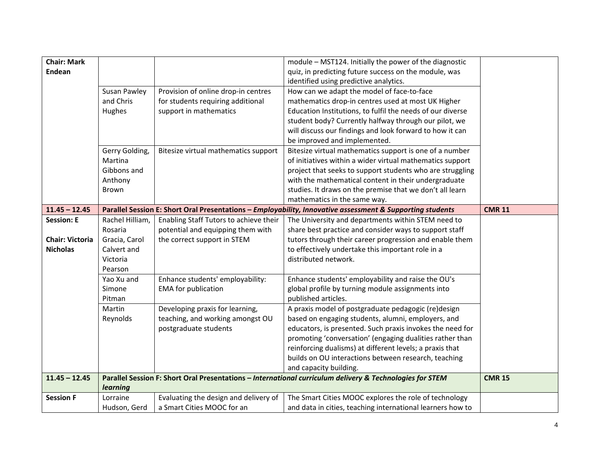| <b>Chair: Mark</b>     |                          |                                                                     | module - MST124. Initially the power of the diagnostic                                                    |               |
|------------------------|--------------------------|---------------------------------------------------------------------|-----------------------------------------------------------------------------------------------------------|---------------|
| Endean                 |                          |                                                                     | quiz, in predicting future success on the module, was                                                     |               |
|                        |                          |                                                                     | identified using predictive analytics.                                                                    |               |
|                        | Susan Pawley             | Provision of online drop-in centres                                 | How can we adapt the model of face-to-face                                                                |               |
|                        | and Chris                | for students requiring additional                                   | mathematics drop-in centres used at most UK Higher                                                        |               |
|                        | Hughes                   | support in mathematics                                              | Education Institutions, to fulfil the needs of our diverse                                                |               |
|                        |                          |                                                                     | student body? Currently halfway through our pilot, we                                                     |               |
|                        |                          |                                                                     | will discuss our findings and look forward to how it can                                                  |               |
|                        |                          |                                                                     | be improved and implemented.                                                                              |               |
|                        | Gerry Golding,           | Bitesize virtual mathematics support                                | Bitesize virtual mathematics support is one of a number                                                   |               |
|                        | Martina                  |                                                                     | of initiatives within a wider virtual mathematics support                                                 |               |
|                        | Gibbons and              |                                                                     | project that seeks to support students who are struggling                                                 |               |
|                        | Anthony                  |                                                                     | with the mathematical content in their undergraduate                                                      |               |
|                        | <b>Brown</b>             |                                                                     | studies. It draws on the premise that we don't all learn                                                  |               |
|                        |                          |                                                                     | mathematics in the same way.                                                                              |               |
| $11.45 - 12.45$        |                          |                                                                     | Parallel Session E: Short Oral Presentations - Employability, Innovative assessment & Supporting students | <b>CMR 11</b> |
| <b>Session: E</b>      | Rachel Hilliam,          | Enabling Staff Tutors to achieve their                              | The University and departments within STEM need to                                                        |               |
|                        | Rosaria                  | potential and equipping them with                                   | share best practice and consider ways to support staff                                                    |               |
| <b>Chair: Victoria</b> | Gracia, Carol            | the correct support in STEM                                         | tutors through their career progression and enable them                                                   |               |
| <b>Nicholas</b>        | Calvert and              |                                                                     | to effectively undertake this important role in a                                                         |               |
|                        | Victoria                 |                                                                     | distributed network.                                                                                      |               |
|                        | Pearson                  |                                                                     |                                                                                                           |               |
|                        | Yao Xu and               | Enhance students' employability:                                    | Enhance students' employability and raise the OU's                                                        |               |
|                        | Simone                   | <b>EMA</b> for publication                                          | global profile by turning module assignments into                                                         |               |
|                        | Pitman                   |                                                                     | published articles.                                                                                       |               |
|                        | Martin                   | Developing praxis for learning,                                     | A praxis model of postgraduate pedagogic (re)design                                                       |               |
|                        | Reynolds                 | teaching, and working amongst OU                                    | based on engaging students, alumni, employers, and                                                        |               |
|                        |                          | postgraduate students                                               | educators, is presented. Such praxis invokes the need for                                                 |               |
|                        |                          |                                                                     | promoting 'conversation' (engaging dualities rather than                                                  |               |
|                        |                          |                                                                     | reinforcing dualisms) at different levels; a praxis that                                                  |               |
|                        |                          |                                                                     | builds on OU interactions between research, teaching                                                      |               |
|                        |                          |                                                                     | and capacity building.                                                                                    |               |
| $11.45 - 12.45$        |                          |                                                                     | Parallel Session F: Short Oral Presentations - International curriculum delivery & Technologies for STEM  | <b>CMR 15</b> |
|                        | learning                 |                                                                     |                                                                                                           |               |
| <b>Session F</b>       | Lorraine<br>Hudson, Gerd | Evaluating the design and delivery of<br>a Smart Cities MOOC for an | The Smart Cities MOOC explores the role of technology                                                     |               |
|                        |                          |                                                                     | and data in cities, teaching international learners how to                                                |               |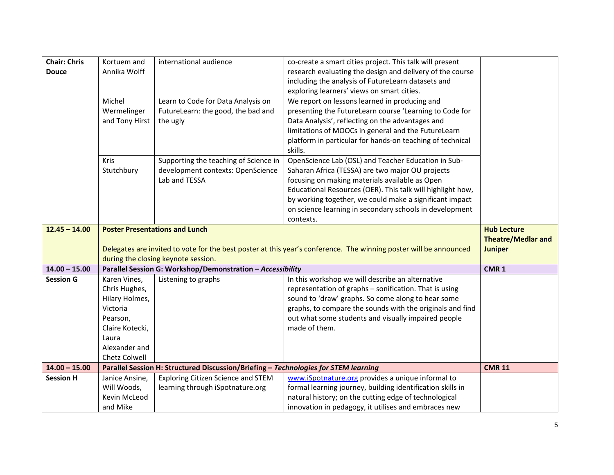| <b>Chair: Chris</b> | Kortuem and     | international audience                                                              | co-create a smart cities project. This talk will present                                                          |                           |
|---------------------|-----------------|-------------------------------------------------------------------------------------|-------------------------------------------------------------------------------------------------------------------|---------------------------|
| <b>Douce</b>        | Annika Wolff    |                                                                                     | research evaluating the design and delivery of the course                                                         |                           |
|                     |                 |                                                                                     | including the analysis of FutureLearn datasets and                                                                |                           |
|                     |                 |                                                                                     | exploring learners' views on smart cities.                                                                        |                           |
|                     | Michel          | Learn to Code for Data Analysis on                                                  | We report on lessons learned in producing and                                                                     |                           |
|                     | Wermelinger     | FutureLearn: the good, the bad and                                                  | presenting the FutureLearn course 'Learning to Code for                                                           |                           |
|                     | and Tony Hirst  | the ugly                                                                            | Data Analysis', reflecting on the advantages and                                                                  |                           |
|                     |                 |                                                                                     | limitations of MOOCs in general and the FutureLearn                                                               |                           |
|                     |                 |                                                                                     | platform in particular for hands-on teaching of technical                                                         |                           |
|                     |                 |                                                                                     | skills.                                                                                                           |                           |
|                     | <b>Kris</b>     | Supporting the teaching of Science in                                               | OpenScience Lab (OSL) and Teacher Education in Sub-                                                               |                           |
|                     | Stutchbury      | development contexts: OpenScience                                                   | Saharan Africa (TESSA) are two major OU projects                                                                  |                           |
|                     |                 | Lab and TESSA                                                                       | focusing on making materials available as Open                                                                    |                           |
|                     |                 |                                                                                     | Educational Resources (OER). This talk will highlight how,                                                        |                           |
|                     |                 |                                                                                     | by working together, we could make a significant impact                                                           |                           |
|                     |                 |                                                                                     | on science learning in secondary schools in development                                                           |                           |
|                     |                 |                                                                                     | contexts.                                                                                                         |                           |
| $12.45 - 14.00$     |                 | <b>Poster Presentations and Lunch</b>                                               |                                                                                                                   | <b>Hub Lecture</b>        |
|                     |                 |                                                                                     |                                                                                                                   | <b>Theatre/Medlar and</b> |
|                     |                 |                                                                                     | Delegates are invited to vote for the best poster at this year's conference. The winning poster will be announced | <b>Juniper</b>            |
|                     |                 | during the closing keynote session.                                                 |                                                                                                                   |                           |
| $14.00 - 15.00$     |                 | Parallel Session G: Workshop/Demonstration - Accessibility                          |                                                                                                                   | CMR <sub>1</sub>          |
| <b>Session G</b>    | Karen Vines,    | Listening to graphs                                                                 | In this workshop we will describe an alternative                                                                  |                           |
|                     | Chris Hughes,   |                                                                                     | representation of graphs - sonification. That is using                                                            |                           |
|                     | Hilary Holmes,  |                                                                                     | sound to 'draw' graphs. So come along to hear some                                                                |                           |
|                     | Victoria        |                                                                                     | graphs, to compare the sounds with the originals and find                                                         |                           |
|                     | Pearson,        |                                                                                     | out what some students and visually impaired people                                                               |                           |
|                     | Claire Kotecki, |                                                                                     | made of them.                                                                                                     |                           |
|                     | Laura           |                                                                                     |                                                                                                                   |                           |
|                     | Alexander and   |                                                                                     |                                                                                                                   |                           |
|                     | Chetz Colwell   |                                                                                     |                                                                                                                   |                           |
| $14.00 - 15.00$     |                 | Parallel Session H: Structured Discussion/Briefing - Technologies for STEM learning |                                                                                                                   | <b>CMR 11</b>             |
| <b>Session H</b>    | Janice Ansine,  | Exploring Citizen Science and STEM                                                  | www.iSpotnature.org provides a unique informal to                                                                 |                           |
|                     | Will Woods,     | learning through iSpotnature.org                                                    | formal learning journey, building identification skills in                                                        |                           |
|                     | Kevin McLeod    |                                                                                     | natural history; on the cutting edge of technological                                                             |                           |
|                     | and Mike        |                                                                                     | innovation in pedagogy, it utilises and embraces new                                                              |                           |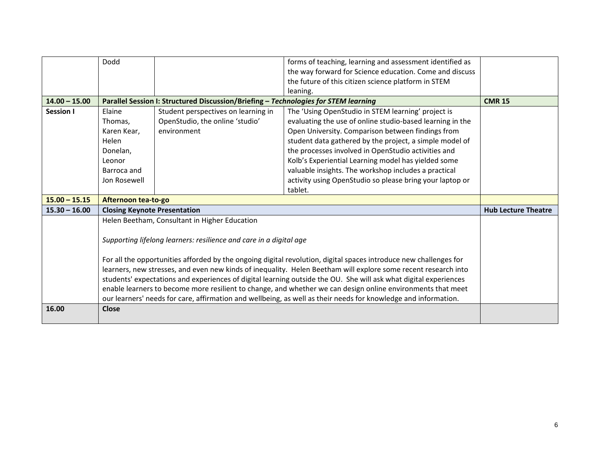|                 | Dodd                                                                                                             |                                                                                     | forms of teaching, learning and assessment identified as                                                          |                            |
|-----------------|------------------------------------------------------------------------------------------------------------------|-------------------------------------------------------------------------------------|-------------------------------------------------------------------------------------------------------------------|----------------------------|
|                 |                                                                                                                  |                                                                                     | the way forward for Science education. Come and discuss                                                           |                            |
|                 |                                                                                                                  |                                                                                     | the future of this citizen science platform in STEM                                                               |                            |
|                 |                                                                                                                  |                                                                                     | leaning.                                                                                                          |                            |
| $14.00 - 15.00$ |                                                                                                                  | Parallel Session I: Structured Discussion/Briefing - Technologies for STEM learning |                                                                                                                   | <b>CMR 15</b>              |
| Session I       | Elaine                                                                                                           | Student perspectives on learning in                                                 | The 'Using OpenStudio in STEM learning' project is                                                                |                            |
|                 | Thomas,                                                                                                          | OpenStudio, the online 'studio'                                                     | evaluating the use of online studio-based learning in the                                                         |                            |
|                 | Karen Kear,                                                                                                      | environment                                                                         | Open University. Comparison between findings from                                                                 |                            |
|                 | Helen                                                                                                            |                                                                                     | student data gathered by the project, a simple model of                                                           |                            |
|                 | Donelan,                                                                                                         |                                                                                     | the processes involved in OpenStudio activities and                                                               |                            |
|                 | Leonor                                                                                                           |                                                                                     | Kolb's Experiential Learning model has yielded some                                                               |                            |
|                 | Barroca and                                                                                                      |                                                                                     | valuable insights. The workshop includes a practical                                                              |                            |
|                 | Jon Rosewell                                                                                                     |                                                                                     | activity using OpenStudio so please bring your laptop or                                                          |                            |
|                 |                                                                                                                  |                                                                                     | tablet.                                                                                                           |                            |
| $15.00 - 15.15$ | Afternoon tea-to-go                                                                                              |                                                                                     |                                                                                                                   |                            |
| $15.30 - 16.00$ | <b>Closing Keynote Presentation</b>                                                                              |                                                                                     |                                                                                                                   | <b>Hub Lecture Theatre</b> |
|                 |                                                                                                                  | Helen Beetham, Consultant in Higher Education                                       |                                                                                                                   |                            |
|                 |                                                                                                                  |                                                                                     |                                                                                                                   |                            |
|                 |                                                                                                                  | Supporting lifelong learners: resilience and care in a digital age                  |                                                                                                                   |                            |
|                 |                                                                                                                  |                                                                                     |                                                                                                                   |                            |
|                 |                                                                                                                  |                                                                                     | For all the opportunities afforded by the ongoing digital revolution, digital spaces introduce new challenges for |                            |
|                 | learners, new stresses, and even new kinds of inequality. Helen Beetham will explore some recent research into   |                                                                                     |                                                                                                                   |                            |
|                 | students' expectations and experiences of digital learning outside the OU. She will ask what digital experiences |                                                                                     |                                                                                                                   |                            |
|                 |                                                                                                                  |                                                                                     | enable learners to become more resilient to change, and whether we can design online environments that meet       |                            |
|                 |                                                                                                                  |                                                                                     | our learners' needs for care, affirmation and wellbeing, as well as their needs for knowledge and information.    |                            |
| 16.00           | <b>Close</b>                                                                                                     |                                                                                     |                                                                                                                   |                            |
|                 |                                                                                                                  |                                                                                     |                                                                                                                   |                            |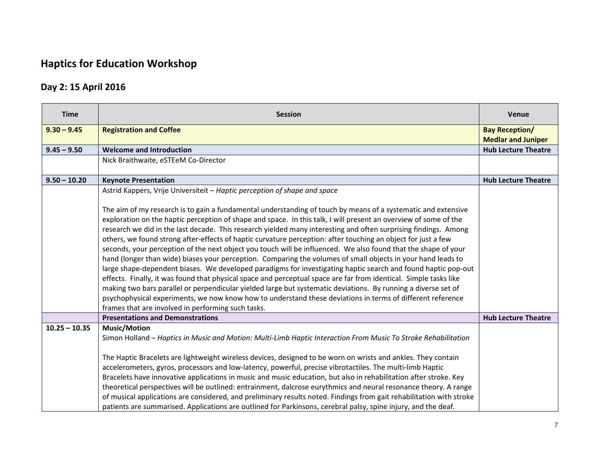# **Haptics for Education Workshop**

## **Day 2: 15 April 2016**

| <b>Time</b>     | <b>Session</b>                                                                                                                                                                                                                                                                                                                                                                                                                                                                                                                                                                                                                                                                                                                                                                                                                                                                                                                                                                                                                                                                                                                                                                                                                      | <b>Venue</b>               |
|-----------------|-------------------------------------------------------------------------------------------------------------------------------------------------------------------------------------------------------------------------------------------------------------------------------------------------------------------------------------------------------------------------------------------------------------------------------------------------------------------------------------------------------------------------------------------------------------------------------------------------------------------------------------------------------------------------------------------------------------------------------------------------------------------------------------------------------------------------------------------------------------------------------------------------------------------------------------------------------------------------------------------------------------------------------------------------------------------------------------------------------------------------------------------------------------------------------------------------------------------------------------|----------------------------|
| $9.30 - 9.45$   | <b>Registration and Coffee</b>                                                                                                                                                                                                                                                                                                                                                                                                                                                                                                                                                                                                                                                                                                                                                                                                                                                                                                                                                                                                                                                                                                                                                                                                      | <b>Bay Reception/</b>      |
|                 |                                                                                                                                                                                                                                                                                                                                                                                                                                                                                                                                                                                                                                                                                                                                                                                                                                                                                                                                                                                                                                                                                                                                                                                                                                     | <b>Medlar and Juniper</b>  |
| $9.45 - 9.50$   | <b>Welcome and Introduction</b>                                                                                                                                                                                                                                                                                                                                                                                                                                                                                                                                                                                                                                                                                                                                                                                                                                                                                                                                                                                                                                                                                                                                                                                                     | <b>Hub Lecture Theatre</b> |
|                 | Nick Braithwaite, eSTEeM Co-Director                                                                                                                                                                                                                                                                                                                                                                                                                                                                                                                                                                                                                                                                                                                                                                                                                                                                                                                                                                                                                                                                                                                                                                                                |                            |
| $9.50 - 10.20$  | <b>Keynote Presentation</b>                                                                                                                                                                                                                                                                                                                                                                                                                                                                                                                                                                                                                                                                                                                                                                                                                                                                                                                                                                                                                                                                                                                                                                                                         | <b>Hub Lecture Theatre</b> |
|                 | Astrid Kappers, Vrije Universiteit - Haptic perception of shape and space                                                                                                                                                                                                                                                                                                                                                                                                                                                                                                                                                                                                                                                                                                                                                                                                                                                                                                                                                                                                                                                                                                                                                           |                            |
|                 | The aim of my research is to gain a fundamental understanding of touch by means of a systematic and extensive<br>exploration on the haptic perception of shape and space. In this talk, I will present an overview of some of the<br>research we did in the last decade. This research yielded many interesting and often surprising findings. Among<br>others, we found strong after-effects of haptic curvature perception: after touching an object for just a few<br>seconds, your perception of the next object you touch will be influenced. We also found that the shape of your<br>hand (longer than wide) biases your perception. Comparing the volumes of small objects in your hand leads to<br>large shape-dependent biases. We developed paradigms for investigating haptic search and found haptic pop-out<br>effects. Finally, it was found that physical space and perceptual space are far from identical. Simple tasks like<br>making two bars parallel or perpendicular yielded large but systematic deviations. By running a diverse set of<br>psychophysical experiments, we now know how to understand these deviations in terms of different reference<br>frames that are involved in performing such tasks. |                            |
|                 | <b>Presentations and Demonstrations</b>                                                                                                                                                                                                                                                                                                                                                                                                                                                                                                                                                                                                                                                                                                                                                                                                                                                                                                                                                                                                                                                                                                                                                                                             | <b>Hub Lecture Theatre</b> |
| $10.25 - 10.35$ | <b>Music/Motion</b><br>Simon Holland - Haptics in Music and Motion: Multi-Limb Haptic Interaction From Music To Stroke Rehabilitation<br>The Haptic Bracelets are lightweight wireless devices, designed to be worn on wrists and ankles. They contain<br>accelerometers, gyros, processors and low-latency, powerful, precise vibrotactiles. The multi-limb Haptic<br>Bracelets have innovative applications in music and music education, but also in rehabilitation after stroke. Key<br>theoretical perspectives will be outlined: entrainment, dalcrose eurythmics and neural resonance theory. A range                                                                                                                                                                                                                                                                                                                                                                                                                                                                                                                                                                                                                        |                            |
|                 | of musical applications are considered, and preliminary results noted. Findings from gait rehabilitation with stroke<br>patients are summarised. Applications are outlined for Parkinsons, cerebral palsy, spine injury, and the deaf.                                                                                                                                                                                                                                                                                                                                                                                                                                                                                                                                                                                                                                                                                                                                                                                                                                                                                                                                                                                              |                            |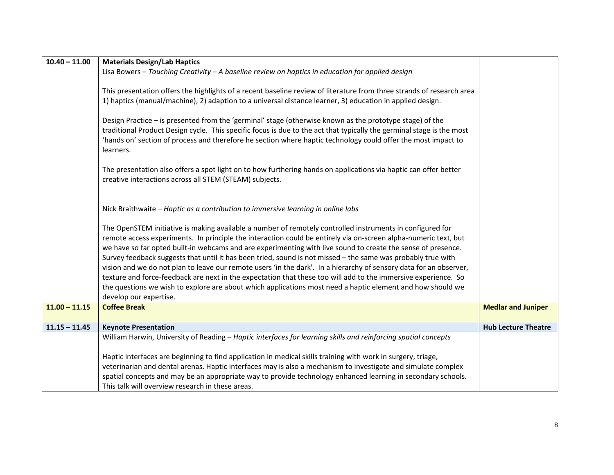| $10.40 - 11.00$ | <b>Materials Design/Lab Haptics</b>                                                                                   |                            |
|-----------------|-----------------------------------------------------------------------------------------------------------------------|----------------------------|
|                 | Lisa Bowers $-$ Touching Creativity $-$ A baseline review on haptics in education for applied design                  |                            |
|                 |                                                                                                                       |                            |
|                 | This presentation offers the highlights of a recent baseline review of literature from three strands of research area |                            |
|                 | 1) haptics (manual/machine), 2) adaption to a universal distance learner, 3) education in applied design.             |                            |
|                 |                                                                                                                       |                            |
|                 | Design Practice - is presented from the 'germinal' stage (otherwise known as the prototype stage) of the              |                            |
|                 | traditional Product Design cycle. This specific focus is due to the act that typically the germinal stage is the most |                            |
|                 | 'hands on' section of process and therefore he section where haptic technology could offer the most impact to         |                            |
|                 | learners.                                                                                                             |                            |
|                 | The presentation also offers a spot light on to how furthering hands on applications via haptic can offer better      |                            |
|                 | creative interactions across all STEM (STEAM) subjects.                                                               |                            |
|                 |                                                                                                                       |                            |
|                 |                                                                                                                       |                            |
|                 | Nick Braithwaite - Haptic as a contribution to immersive learning in online labs                                      |                            |
|                 |                                                                                                                       |                            |
|                 | The OpenSTEM initiative is making available a number of remotely controlled instruments in configured for             |                            |
|                 | remote access experiments. In principle the interaction could be entirely via on-screen alpha-numeric text, but       |                            |
|                 | we have so far opted built-in webcams and are experimenting with live sound to create the sense of presence.          |                            |
|                 | Survey feedback suggests that until it has been tried, sound is not missed - the same was probably true with          |                            |
|                 | vision and we do not plan to leave our remote users 'in the dark'. In a hierarchy of sensory data for an observer,    |                            |
|                 | texture and force-feedback are next in the expectation that these too will add to the immersive experience. So        |                            |
|                 | the questions we wish to explore are about which applications most need a haptic element and how should we            |                            |
|                 | develop our expertise.                                                                                                |                            |
| $11.00 - 11.15$ | <b>Coffee Break</b>                                                                                                   | <b>Medlar and Juniper</b>  |
| $11.15 - 11.45$ | <b>Keynote Presentation</b>                                                                                           | <b>Hub Lecture Theatre</b> |
|                 | William Harwin, University of Reading - Haptic interfaces for learning skills and reinforcing spatial concepts        |                            |
|                 |                                                                                                                       |                            |
|                 | Haptic interfaces are beginning to find application in medical skills training with work in surgery, triage,          |                            |
|                 | veterinarian and dental arenas. Haptic interfaces may is also a mechanism to investigate and simulate complex         |                            |
|                 | spatial concepts and may be an appropriate way to provide technology enhanced learning in secondary schools.          |                            |
|                 | This talk will overview research in these areas.                                                                      |                            |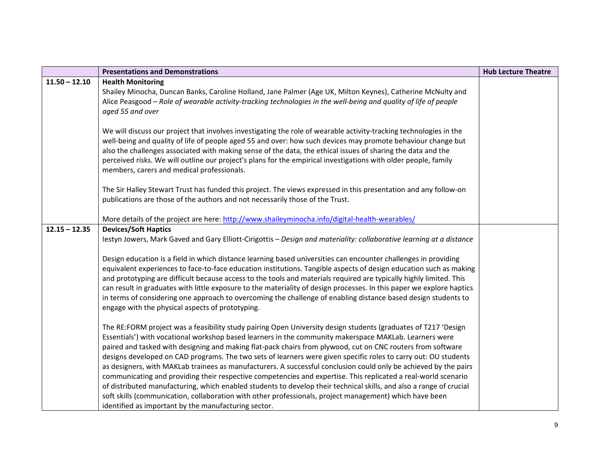|                 | <b>Presentations and Demonstrations</b>                                                                                                                                                                                                                                                                                                                                                                                                                                                                                                                                                                                                                                                                                                                                                                                                                                                                                                                                                    | <b>Hub Lecture Theatre</b> |
|-----------------|--------------------------------------------------------------------------------------------------------------------------------------------------------------------------------------------------------------------------------------------------------------------------------------------------------------------------------------------------------------------------------------------------------------------------------------------------------------------------------------------------------------------------------------------------------------------------------------------------------------------------------------------------------------------------------------------------------------------------------------------------------------------------------------------------------------------------------------------------------------------------------------------------------------------------------------------------------------------------------------------|----------------------------|
| $11.50 - 12.10$ | <b>Health Monitoring</b><br>Shailey Minocha, Duncan Banks, Caroline Holland, Jane Palmer (Age UK, Milton Keynes), Catherine McNulty and<br>Alice Peasgood - Role of wearable activity-tracking technologies in the well-being and quality of life of people<br>aged 55 and over                                                                                                                                                                                                                                                                                                                                                                                                                                                                                                                                                                                                                                                                                                            |                            |
|                 | We will discuss our project that involves investigating the role of wearable activity-tracking technologies in the<br>well-being and quality of life of people aged 55 and over: how such devices may promote behaviour change but<br>also the challenges associated with making sense of the data, the ethical issues of sharing the data and the<br>perceived risks. We will outline our project's plans for the empirical investigations with older people, family<br>members, carers and medical professionals.                                                                                                                                                                                                                                                                                                                                                                                                                                                                        |                            |
|                 | The Sir Halley Stewart Trust has funded this project. The views expressed in this presentation and any follow-on<br>publications are those of the authors and not necessarily those of the Trust.                                                                                                                                                                                                                                                                                                                                                                                                                                                                                                                                                                                                                                                                                                                                                                                          |                            |
|                 | More details of the project are here: http://www.shaileyminocha.info/digital-health-wearables/                                                                                                                                                                                                                                                                                                                                                                                                                                                                                                                                                                                                                                                                                                                                                                                                                                                                                             |                            |
| $12.15 - 12.35$ | <b>Devices/Soft Haptics</b><br>lestyn Jowers, Mark Gaved and Gary Elliott-Cirigottis - Design and materiality: collaborative learning at a distance<br>Design education is a field in which distance learning based universities can encounter challenges in providing<br>equivalent experiences to face-to-face education institutions. Tangible aspects of design education such as making<br>and prototyping are difficult because access to the tools and materials required are typically highly limited. This<br>can result in graduates with little exposure to the materiality of design processes. In this paper we explore haptics<br>in terms of considering one approach to overcoming the challenge of enabling distance based design students to<br>engage with the physical aspects of prototyping.                                                                                                                                                                         |                            |
|                 | The RE:FORM project was a feasibility study pairing Open University design students (graduates of T217 'Design<br>Essentials') with vocational workshop based learners in the community makerspace MAKLab. Learners were<br>paired and tasked with designing and making flat-pack chairs from plywood, cut on CNC routers from software<br>designs developed on CAD programs. The two sets of learners were given specific roles to carry out: OU students<br>as designers, with MAKLab trainees as manufacturers. A successful conclusion could only be achieved by the pairs<br>communicating and providing their respective competencies and expertise. This replicated a real-world scenario<br>of distributed manufacturing, which enabled students to develop their technical skills, and also a range of crucial<br>soft skills (communication, collaboration with other professionals, project management) which have been<br>identified as important by the manufacturing sector. |                            |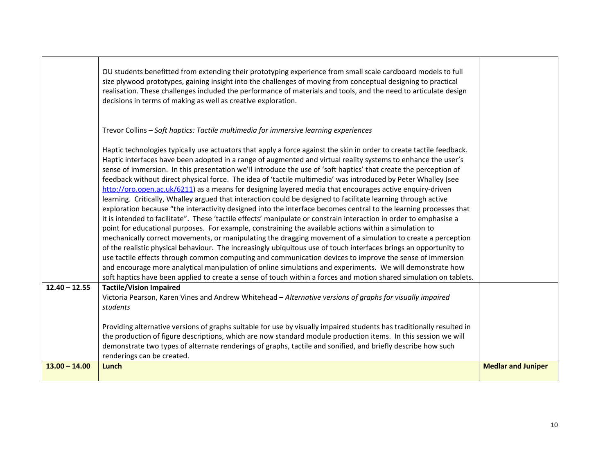|                 | OU students benefitted from extending their prototyping experience from small scale cardboard models to full<br>size plywood prototypes, gaining insight into the challenges of moving from conceptual designing to practical<br>realisation. These challenges included the performance of materials and tools, and the need to articulate design<br>decisions in terms of making as well as creative exploration.                                                                                                                                                                                                                                                                                                                                                                                                                                                                                                                                                                                                                                                                                                                                                                                                                                                                                                                                                                                                                                                                                                                                                                                                                               |                           |
|-----------------|--------------------------------------------------------------------------------------------------------------------------------------------------------------------------------------------------------------------------------------------------------------------------------------------------------------------------------------------------------------------------------------------------------------------------------------------------------------------------------------------------------------------------------------------------------------------------------------------------------------------------------------------------------------------------------------------------------------------------------------------------------------------------------------------------------------------------------------------------------------------------------------------------------------------------------------------------------------------------------------------------------------------------------------------------------------------------------------------------------------------------------------------------------------------------------------------------------------------------------------------------------------------------------------------------------------------------------------------------------------------------------------------------------------------------------------------------------------------------------------------------------------------------------------------------------------------------------------------------------------------------------------------------|---------------------------|
|                 | Trevor Collins - Soft haptics: Tactile multimedia for immersive learning experiences                                                                                                                                                                                                                                                                                                                                                                                                                                                                                                                                                                                                                                                                                                                                                                                                                                                                                                                                                                                                                                                                                                                                                                                                                                                                                                                                                                                                                                                                                                                                                             |                           |
|                 | Haptic technologies typically use actuators that apply a force against the skin in order to create tactile feedback.<br>Haptic interfaces have been adopted in a range of augmented and virtual reality systems to enhance the user's<br>sense of immersion. In this presentation we'll introduce the use of 'soft haptics' that create the perception of<br>feedback without direct physical force. The idea of 'tactile multimedia' was introduced by Peter Whalley (see<br>http://oro.open.ac.uk/6211) as a means for designing layered media that encourages active enquiry-driven<br>learning. Critically, Whalley argued that interaction could be designed to facilitate learning through active<br>exploration because "the interactivity designed into the interface becomes central to the learning processes that<br>it is intended to facilitate". These 'tactile effects' manipulate or constrain interaction in order to emphasise a<br>point for educational purposes. For example, constraining the available actions within a simulation to<br>mechanically correct movements, or manipulating the dragging movement of a simulation to create a perception<br>of the realistic physical behaviour. The increasingly ubiquitous use of touch interfaces brings an opportunity to<br>use tactile effects through common computing and communication devices to improve the sense of immersion<br>and encourage more analytical manipulation of online simulations and experiments. We will demonstrate how<br>soft haptics have been applied to create a sense of touch within a forces and motion shared simulation on tablets. |                           |
| $12.40 - 12.55$ | <b>Tactile/Vision Impaired</b>                                                                                                                                                                                                                                                                                                                                                                                                                                                                                                                                                                                                                                                                                                                                                                                                                                                                                                                                                                                                                                                                                                                                                                                                                                                                                                                                                                                                                                                                                                                                                                                                                   |                           |
|                 | Victoria Pearson, Karen Vines and Andrew Whitehead - Alternative versions of graphs for visually impaired<br>students                                                                                                                                                                                                                                                                                                                                                                                                                                                                                                                                                                                                                                                                                                                                                                                                                                                                                                                                                                                                                                                                                                                                                                                                                                                                                                                                                                                                                                                                                                                            |                           |
|                 | Providing alternative versions of graphs suitable for use by visually impaired students has traditionally resulted in<br>the production of figure descriptions, which are now standard module production items. In this session we will<br>demonstrate two types of alternate renderings of graphs, tactile and sonified, and briefly describe how such<br>renderings can be created.                                                                                                                                                                                                                                                                                                                                                                                                                                                                                                                                                                                                                                                                                                                                                                                                                                                                                                                                                                                                                                                                                                                                                                                                                                                            |                           |
| $13.00 - 14.00$ | Lunch                                                                                                                                                                                                                                                                                                                                                                                                                                                                                                                                                                                                                                                                                                                                                                                                                                                                                                                                                                                                                                                                                                                                                                                                                                                                                                                                                                                                                                                                                                                                                                                                                                            | <b>Medlar and Juniper</b> |